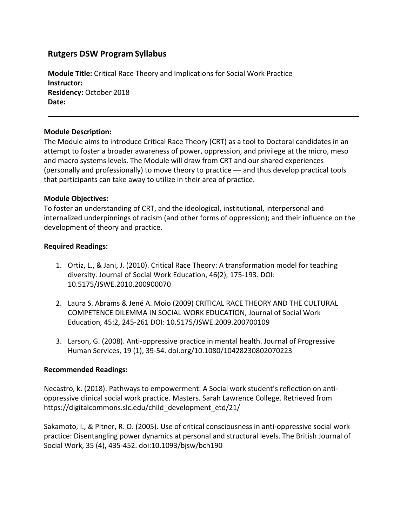# **Rutgers DSW Program Syllabus**

**Module Title:** Critical Race Theory and Implications for Social Work Practice **Instructor: Residency:** October 2018 **Date:** 

## **Module Description:**

The Module aims to introduce Critical Race Theory (CRT) as a tool to Doctoral candidates in an attempt to foster a broader awareness of power, oppression, and privilege at the micro, meso and macro systems levels. The Module will draw from CRT and our shared experiences (personally and professionally) to move theory to practice –– and thus develop practical tools that participants can take away to utilize in their area of practice.

#### **Module Objectives:**

To foster an understanding of CRT, and the ideological, institutional, interpersonal and internalized underpinnings of racism (and other forms of oppression); and their influence on the development of theory and practice.

#### **Required Readings:**

- 1. Ortiz, L., & Jani, J. (2010). Critical Race Theory: A transformation model for teaching diversity. Journal of Social Work Education, 46(2), 175-193. DOI: 10.5175/JSWE.2010.200900070
- 2. Laura S. Abrams & Jené A. Moio (2009) CRITICAL RACE THEORY AND THE CULTURAL COMPETENCE DILEMMA IN SOCIAL WORK EDUCATION, Journal of Social Work Education, 45:2, 245-261 DOI: 10.5175/JSWE.2009.200700109
- 3. Larson, G. (2008). Anti-oppressive practice in mental health. Journal of Progressive Human Services, 19 (1), 39-54. doi.org/10.1080/10428230802070223

## **Recommended Readings:**

Necastro, k. (2018). Pathways to empowerment: A Social work student's reflection on antioppressive clinical social work practice. Masters. Sarah Lawrence College. Retrieved from https://digitalcommons.slc.edu/child\_development\_etd/21/

Sakamoto, I., & Pitner, R. O. (2005). Use of critical consciousness in anti-oppressive social work practice: Disentangling power dynamics at personal and structural levels. The British Journal of Social Work, 35 (4), 435-452. doi:10.1093/bjsw/bch190